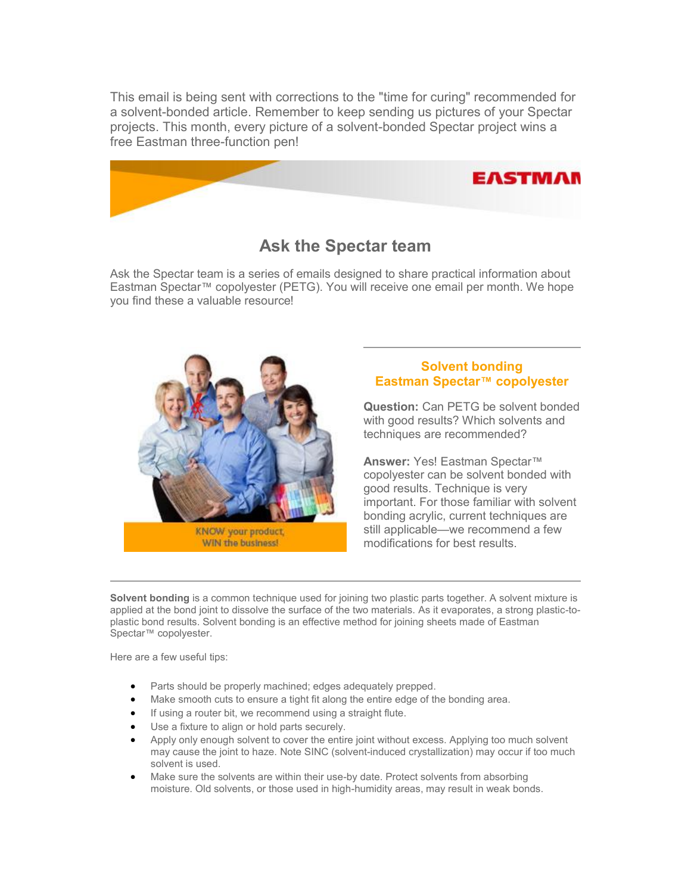This email is being sent with corrections to the "time for curing" recommended for a solvent-bonded article. Remember to keep sending us pictures of your Spectar projects. This month, every picture of a solvent-bonded Spectar project wins a free Eastman three-function pen!



## **Ask the Spectar team**

Ask the Spectar team is a series of emails designed to share practical information about Eastman Spectar™ copolyester (PETG). You will receive one email per month. We hope you find these a valuable resource!



## **Solvent bonding Eastman Spectar™ copolyester**

**Question:** Can PETG be solvent bonded with good results? Which solvents and techniques are recommended?

**Answer:** Yes! Eastman Spectar™ copolyester can be solvent bonded with good results. Technique is very important. For those familiar with solvent bonding acrylic, current techniques are still applicable—we recommend a few modifications for best results.

**Solvent bonding** is a common technique used for joining two plastic parts together. A solvent mixture is applied at the bond joint to dissolve the surface of the two materials. As it evaporates, a strong plastic-toplastic bond results. Solvent bonding is an effective method for joining sheets made of Eastman Spectar<sup>™</sup> copolyester.

Here are a few useful tips:

- Parts should be properly machined; edges adequately prepped.
- Make smooth cuts to ensure a tight fit along the entire edge of the bonding area.
- If using a router bit, we recommend using a straight flute.
- Use a fixture to align or hold parts securely.
- Apply only enough solvent to cover the entire joint without excess. Applying too much solvent may cause the joint to haze. Note SINC (solvent-induced crystallization) may occur if too much solvent is used.
- Make sure the solvents are within their use-by date. Protect solvents from absorbing moisture. Old solvents, or those used in high-humidity areas, may result in weak bonds.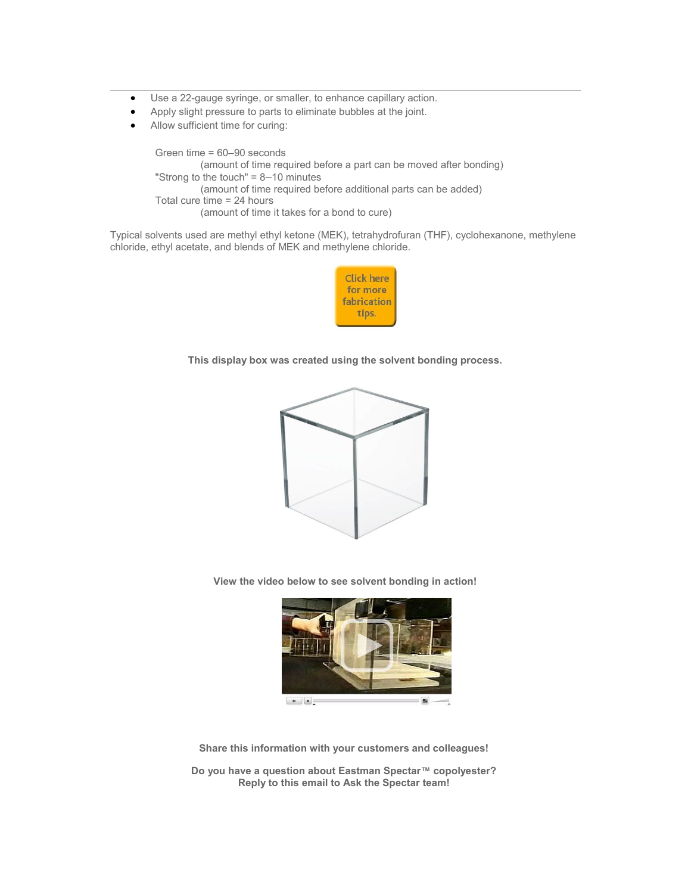- Use a 22-gauge syringe, or smaller, to enhance capillary action.
- Apply slight pressure to parts to eliminate bubbles at the joint.
- Allow sufficient time for curing:

 Green time = 60–90 seconds (amount of time required before a part can be moved after bonding) "Strong to the touch" = 8–10 minutes (amount of time required before additional parts can be added) Total cure time = 24 hours (amount of time it takes for a bond to cure)

Typical solvents used are methyl ethyl ketone (MEK), tetrahydrofuran (THF), cyclohexanone, methylene chloride, ethyl acetate, and blends of MEK and methylene chloride.



**This display box was created using the solvent bonding process.**



**View the video below to see solvent bonding in action!**



**Share this information with your customers and colleagues!**

**Do you have a question about Eastman Spectar™ copolyester? Reply to this email to Ask the Spectar team!**